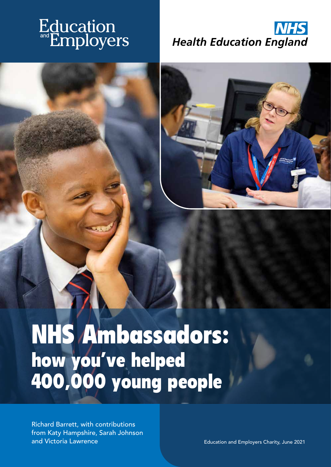# Education<br>Employers





## NHS Ambassadors: how you've helped 400,000 young people

Richard Barrett, with contributions from Katy Hampshire, Sarah Johnson and Victoria Lawrence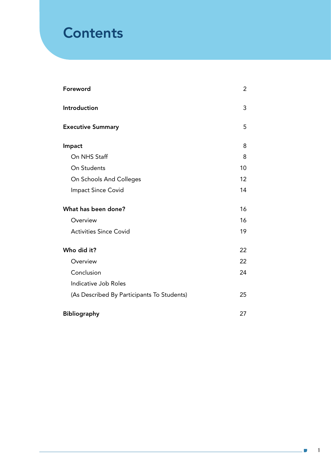### **Contents**

| Foreword                                   | 2  |
|--------------------------------------------|----|
| Introduction                               | 3  |
| <b>Executive Summary</b>                   | 5  |
| Impact                                     | 8  |
| On NHS Staff                               | 8  |
| On Students                                | 10 |
| On Schools And Colleges                    | 12 |
| Impact Since Covid                         | 14 |
| What has been done?                        | 16 |
| Overview                                   | 16 |
| <b>Activities Since Covid</b>              | 19 |
| Who did it?                                | 22 |
| Overview                                   | 22 |
| Conclusion                                 | 24 |
| Indicative Job Roles                       |    |
| (As Described By Participants To Students) | 25 |
| <b>Bibliography</b>                        | 27 |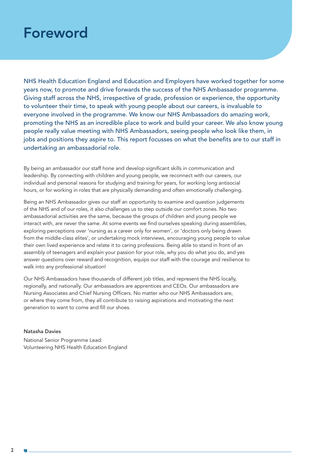### Foreword

NHS Health Education England and Education and Employers have worked together for some years now, to promote and drive forwards the success of the NHS Ambassador programme. Giving staff across the NHS, irrespective of grade, profession or experience, the opportunity to volunteer their time, to speak with young people about our careers, is invaluable to everyone involved in the programme. We know our NHS Ambassadors do amazing work, promoting the NHS as an incredible place to work and build your career. We also know young people really value meeting with NHS Ambassadors, seeing people who look like them, in jobs and positions they aspire to. This report focusses on what the benefits are to our staff in undertaking an ambassadorial role.

By being an ambassador our staff hone and develop significant skills in communication and leadership. By connecting with children and young people, we reconnect with our careers, our individual and personal reasons for studying and training for years, for working long antisocial hours, or for working in roles that are physically demanding and often emotionally challenging.

Being an NHS Ambassador gives our staff an opportunity to examine and question judgements of the NHS and of our roles, it also challenges us to step outside our comfort zones. No two ambassadorial activities are the same, because the groups of children and young people we interact with, are never the same. At some events we find ourselves speaking during assemblies, exploring perceptions over 'nursing as a career only for women', or 'doctors only being drawn from the middle-class elites', or undertaking mock interviews, encouraging young people to value their own lived experience and relate it to caring professions. Being able to stand in front of an assembly of teenagers and explain your passion for your role, why you do what you do, and yes answer questions over reward and recognition, equips our staff with the courage and resilience to walk into any professional situation!

Our NHS Ambassadors have thousands of different job titles, and represent the NHS locally, regionally, and nationally. Our ambassadors are apprentices and CEOs. Our ambassadors are Nursing Associates and Chief Nursing Officers. No matter who our NHS Ambassadors are, or where they come from, they all contribute to raising aspirations and motivating the next generation to want to come and fill our shoes.

#### Natasha Davies

National Senior Programme Lead: Volunteering NHS Health Education England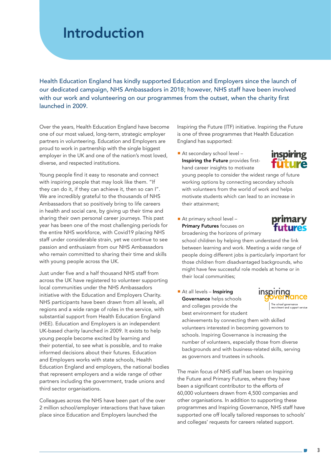### Introduction

Health Education England has kindly supported Education and Employers since the launch of our dedicated campaign, NHS Ambassadors in 2018; however, NHS staff have been involved with our work and volunteering on our programmes from the outset, when the charity first launched in 2009.

Over the years, Health Education England have become one of our most valued, long-term, strategic employer partners in volunteering. Education and Employers are proud to work in partnership with the single biggest employer in the UK and one of the nation's most loved, diverse, and respected institutions.

Young people find it easy to resonate and connect with inspiring people that may look like them. "If they can do it, if they can achieve it, then so can I". We are incredibly grateful to the thousands of NHS Ambassadors that so positively bring to life careers in health and social care, by giving up their time and sharing their own personal career journeys. This past year has been one of the most challenging periods for the entire NHS workforce, with Covid19 placing NHS staff under considerable strain, yet we continue to see passion and enthusiasm from our NHS Ambassadors who remain committed to sharing their time and skills with young people across the UK.

Just under five and a half thousand NHS staff from across the UK have registered to volunteer supporting local communities under the NHS Ambassadors initiative with the Education and Employers Charity. NHS participants have been drawn from all levels, all regions and a wide range of roles in the service, with substantial support from Health Education England (HEE). Education and Employers is an independent UK-based charity launched in 2009. It exists to help young people become excited by learning and their potential, to see what is possible, and to make informed decisions about their futures. Education and Employers works with state schools, Health Education England and employers, the national bodies that represent employers and a wide range of other partners including the government, trade unions and third sector organisations.

Colleagues across the NHS have been part of the over 2 million school/employer interactions that have taken place since Education and Employers launched the

Inspiring the Future (ITF) initiative. Inspiring the Future is one of three programmes that Health Education England has supported:

■ At secondary school level -Inspiring the Future provides firsthand career insights to motivate



young people to consider the widest range of future working options by connecting secondary schools with volunteers from the world of work and helps motivate students which can lead to an increase in their attainment;

■ At primary school level – **Primary Futures focuses on** 

broadening the horizons of primary



school children by helping them understand the link between learning and work. Meeting a wide range of people doing different jobs is particularly important for those children from disadvantaged backgrounds, who might have few successful role models at home or in their local communities;

■ At all levels – Inspiring Governance helps schools and colleges provide the best environment for student



achievements by connecting them with skilled volunteers interested in becoming governors to schools. Inspiring Governance is increasing the number of volunteers, especially those from diverse backgrounds and with business-related skills, serving as governors and trustees in schools.

The main focus of NHS staff has been on Inspiring the Future and Primary Futures, where they have been a significant contributor to the efforts of 60,000 volunteers drawn from 4,500 companies and other organisations. In addition to supporting these programmes and Inspiring Governance, NHS staff have supported one off locally tailored responses to schools' and colleges' requests for careers related support.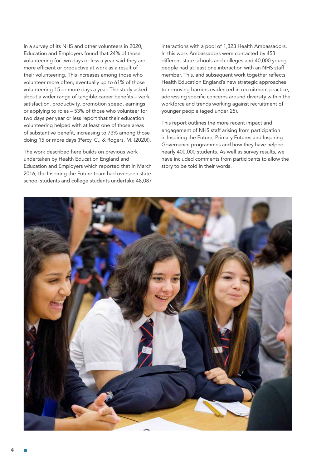In a survey of its NHS and other volunteers in 2020, Education and Employers found that 24% of those volunteering for two days or less a year said they are more efficient or productive at work as a result of their volunteering. This increases among those who volunteer more often, eventually up to 61% of those volunteering 15 or more days a year. The study asked about a wider range of tangible career benefits – work satisfaction, productivity, promotion speed, earnings or applying to roles – 53% of those who volunteer for two days per year or less report that their education volunteering helped with at least one of those areas of substantive benefit, increasing to 73% among those doing 15 or more days (Percy, C., & Rogers, M. (2020)).

The work described here builds on previous work undertaken by Health Education England and Education and Employers which reported that in March 2016, the Inspiring the Future team had overseen state school students and college students undertake 48,087

interactions with a pool of 1,323 Health Ambassadors. In this work Ambassadors were contacted by 453 different state schools and colleges and 40,000 young people had at least one interaction with an NHS staff member. This, and subsequent work together reflects Health Education England's new strategic approaches to removing barriers evidenced in recruitment practice, addressing specific concerns around diversity within the workforce and trends working against recruitment of younger people (aged under 25).

This report outlines the more recent impact and engagement of NHS staff arising from participation in Inspiring the Future, Primary Futures and Inspiring Governance programmes and how they have helped nearly 400,000 students. As well as survey results, we have included comments from participants to allow the story to be told in their words.

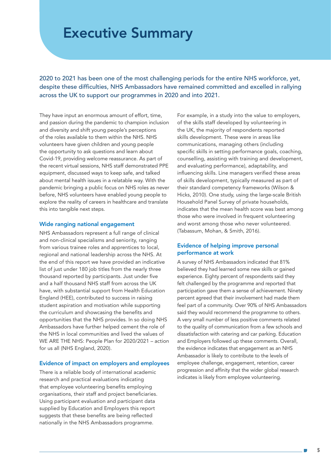### Executive Summary

2020 to 2021 has been one of the most challenging periods for the entire NHS workforce, yet, despite these difficulties, NHS Ambassadors have remained committed and excelled in rallying across the UK to support our programmes in 2020 and into 2021.

They have input an enormous amount of effort, time, and passion during the pandemic to champion inclusion and diversity and shift young people's perceptions of the roles available to them within the NHS. NHS volunteers have given children and young people the opportunity to ask questions and learn about Covid-19, providing welcome reassurance. As part of the recent virtual sessions, NHS staff demonstrated PPE equipment, discussed ways to keep safe, and talked about mental health issues in a relatable way. With the pandemic bringing a public focus on NHS roles as never before, NHS volunteers have enabled young people to explore the reality of careers in healthcare and translate this into tangible next steps.

#### Wide ranging national engagement

NHS Ambassadors represent a full range of clinical and non-clinical specialisms and seniority, ranging from various trainee roles and apprentices to local, regional and national leadership across the NHS. At the end of this report we have provided an indicative list of just under 180 job titles from the nearly three thousand reported by participants. Just under five and a half thousand NHS staff from across the UK have, with substantial support from Health Education England (HEE), contributed to success in raising student aspiration and motivation while supporting the curriculum and showcasing the benefits and opportunities that the NHS provides. In so doing NHS Ambassadors have further helped cement the role of the NHS in local communities and lived the values of WE ARE THE NHS: People Plan for 2020/2021 – action for us all (NHS England, 2020).

#### Evidence of impact on employers and employees

There is a reliable body of international academic research and practical evaluations indicating that employee volunteering benefits employing organisations, their staff and project beneficiaries. Using participant evaluation and participant data supplied by Education and Employers this report suggests that these benefits are being reflected nationally in the NHS Ambassadors programme.

For example, in a study into the value to employers, of the skills staff developed by volunteering in the UK, the majority of respondents reported skills development. These were in areas like communications, managing others (including specific skills in setting performance goals, coaching, counselling, assisting with training and development, and evaluating performance), adaptability, and influencing skills. Line managers verified these areas of skills development, typically measured as part of their standard competency frameworks (Wilson & Hicks, 2010). One study, using the large-scale British Household Panel Survey of private households, indicates that the mean health score was best among those who were involved in frequent volunteering and worst among those who never volunteered. (Tabassum, Mohan, & Smith, 2016).

#### Evidence of helping improve personal performance at work

A survey of NHS Ambassadors indicated that 81% believed they had learned some new skills or gained experience. Eighty percent of respondents said they felt challenged by the programme and reported that participation gave them a sense of achievement. Ninety percent agreed that their involvement had made them feel part of a community. Over 90% of NHS Ambassadors said they would recommend the programme to others. A very small number of less positive comments related to the quality of communication from a few schools and dissatisfaction with catering and car parking. Education and Employers followed up these comments. Overall, the evidence indicates that engagement as an NHS Ambassador is likely to contribute to the levels of employee challenge, engagement, retention, career progression and affinity that the wider global research indicates is likely from employee volunteering.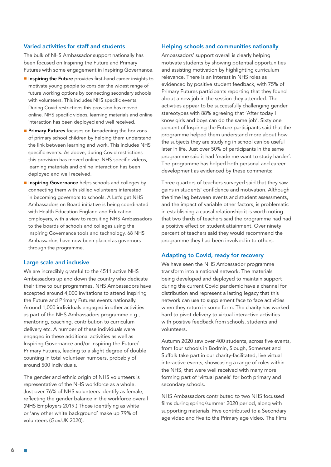#### Varied activities for staff and students

The bulk of NHS Ambassador support nationally has been focused on Inspiring the Future and Primary Futures with some engagement in Inspiring Governance.

- **E** Inspiring the Future provides first-hand career insights to motivate young people to consider the widest range of future working options by connecting secondary schools with volunteers. This includes NHS specific events. During Covid restrictions this provision has moved online. NHS specific videos, learning materials and online interaction has been deployed and well received.
- **Primary Futures** focuses on broadening the horizons of primary school children by helping them understand the link between learning and work. This includes NHS specific events. As above, during Covid restrictions this provision has moved online. NHS specific videos, learning materials and online interaction has been deployed and well received.
- **External Governance** helps schools and colleges by connecting them with skilled volunteers interested in becoming governors to schools. A Let's get NHS Ambassadors on Board initiative is being coordinated with Health Education England and Education Employers, with a view to recruiting NHS Ambassadors to the boards of schools and colleges using the Inspiring Governance tools and technology. 68 NHS Ambassadors have now been placed as governors through the programme.

#### Large scale and inclusive

We are incredibly grateful to the 4511 active NHS Ambassadors up and down the country who dedicate their time to our programmes. NHS Ambassadors have accepted around 4,000 invitations to attend Inspiring the Future and Primary Futures events nationally. Around 1,000 individuals engaged in other activities as part of the NHS Ambassadors programme e.g., mentoring, coaching, contribution to curriculum delivery etc. A number of these individuals were engaged in these additional activities as well as Inspiring Governance and/or Inspiring the Future/ Primary Futures, leading to a slight degree of double counting in total volunteer numbers, probably of around 500 individuals.

The gender and ethnic origin of NHS volunteers is representative of the NHS workforce as a whole. Just over 76% of NHS volunteers identify as female, reflecting the gender balance in the workforce overall (NHS Employers 2019.) Those identifying as white or 'any other white background' make up 79% of volunteers (Gov.UK 2020).

#### Helping schools and communities nationally

Ambassadors' support overall is clearly helping motivate students by showing potential opportunities and assisting motivation by highlighting curriculum relevance. There is an interest in NHS roles as evidenced by positive student feedback, with 75% of Primary Futures participants reporting that they found about a new job in the session they attended. The activities appear to be successfully challenging gender stereotypes with 88% agreeing that 'After today I know girls and boys can do the same job'. Sixty one percent of Inspiring the Future participants said that the programme helped them understand more about how the subjects they are studying in school can be useful later in life. Just over 50% of participants in the same programme said it had 'made me want to study harder'. The programme has helped both personal and career development as evidenced by these comments:

Three quarters of teachers surveyed said that they saw gains in students' confidence and motivation. Although the time lag between events and student assessments, and the impact of variable other factors, is problematic in establishing a causal relationship it is worth noting that two thirds of teachers said the programme had had a positive effect on student attainment. Over ninety percent of teachers said they would recommend the programme they had been involved in to others.

#### Adapting to Covid, ready for recovery

We have seen the NHS Ambassador programme transform into a national network. The materials being developed and deployed to maintain support during the current Covid pandemic have a channel for distribution and represent a lasting legacy that this network can use to supplement face to face activities when they return in some form. The charity has worked hard to pivot delivery to virtual interactive activities with positive feedback from schools, students and volunteers.

Autumn 2020 saw over 400 students, across five events, from four schools in Bodmin, Slough, Somerset and Suffolk take part in our charity-facilitated, live virtual interactive events, showcasing a range of roles within the NHS, that were well received with many more forming part of 'virtual panels' for both primary and secondary schools.

NHS Ambassadors contributed to two NHS focussed films during spring/summer 2020 period, along with supporting materials. Five contributed to a Secondary age video and five to the Primary age video. The films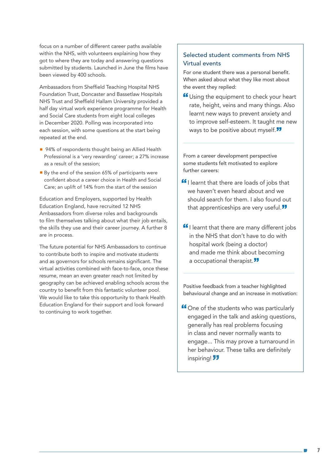focus on a number of different career paths available within the NHS, with volunteers explaining how they got to where they are today and answering questions submitted by students. Launched in June the films have been viewed by 400 schools.

Ambassadors from Sheffield Teaching Hospital NHS Foundation Trust, Doncaster and Bassetlaw Hospitals NHS Trust and Sheffield Hallam University provided a half day virtual work experience programme for Health and Social Care students from eight local colleges in December 2020. Polling was incorporated into each session, with some questions at the start being repeated at the end.

- 94% of respondents thought being an Allied Health Professional is a 'very rewarding' career; a 27% increase as a result of the session;
- By the end of the session 65% of participants were confident about a career choice in Health and Social Care; an uplift of 14% from the start of the session

Education and Employers, supported by Health Education England, have recruited 12 NHS Ambassadors from diverse roles and backgrounds to film themselves talking about what their job entails, the skills they use and their career journey. A further 8 are in process.

The future potential for NHS Ambassadors to continue to contribute both to inspire and motivate students and as governors for schools remains significant. The virtual activities combined with face-to-face, once these resume, mean an even greater reach not limited by geography can be achieved enabling schools across the country to benefit from this fantastic volunteer pool. We would like to take this opportunity to thank Health Education England for their support and look forward to continuing to work together.

#### Selected student comments from NHS Virtual events

For one student there was a personal benefit. When asked about what they like most about the event they replied:

Using the equipment to check your heart rate, height, veins and many things. Also learnt new ways to prevent anxiety and to improve self-esteem. It taught me new ways to be positive about myself.<sup>77</sup>

From a career development perspective some students felt motivated to explore further careers:

- **If** I learnt that there are loads of jobs that we haven't even heard about and we should search for them. I also found out that apprenticeships are very useful.<sup>77</sup>
- **If** I learnt that there are many different jobs in the NHS that don't have to do with hospital work (being a doctor) and made me think about becoming a occupational therapist.<sup>33</sup>

Positive feedback from a teacher highlighted behavioural change and an increase in motivation:

**"Cone of the students who was particularly** engaged in the talk and asking questions, generally has real problems focusing in class and never normally wants to engage... This may prove a turnaround in her behaviour. These talks are definitely inspiring! 77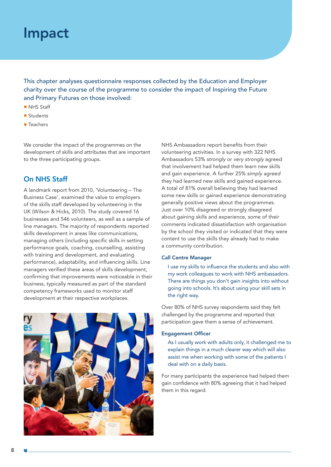### Impact

This chapter analyses questionnaire responses collected by the Education and Employer charity over the course of the programme to consider the impact of Inspiring the Future and Primary Futures on those involved:

- NHS Staff
- Students
- Teachers

We consider the impact of the programmes on the development of skills and attributes that are important to the three participating groups.

#### On NHS Staff

A landmark report from 2010, 'Volunteering – The Business Case', examined the value to employers of the skills staff developed by volunteering in the UK (Wilson & Hicks, 2010). The study covered 16 businesses and 546 volunteers, as well as a sample of line managers. The majority of respondents reported skills development in areas like communications, managing others (including specific skills in setting performance goals, coaching, counselling, assisting with training and development, and evaluating performance), adaptability, and influencing skills. Line managers verified these areas of skills development, confirming that improvements were noticeable in their business, typically measured as part of the standard competency frameworks used to monitor staff development at their respective workplaces.



NHS Ambassadors report benefits from their volunteering activities. In a survey with 322 NHS Ambassadors 53% *strongly* or *very strongly* agreed that involvement had helped them learn new skills and gain experience. A further 25% *simply agreed* they had learned new skills and gained experience. A total of 81% overall believing they had learned some new skills or gained experience demonstrating generally positive views about the programmes. Just over 10% disagreed or strongly disagreed about gaining skills and experience, some of their comments indicated dissatisfaction with organisation by the school they visited or indicated that they were content to use the skills they already had to make a community contribution.

#### Call Centre Manager

I use my skills to influence the students and also with my work colleagues to work with NHS ambassadors. There are things you don't gain insights into without going into schools. It's about using your skill sets in the right way.

Over 80% of NHS survey respondents said they felt challenged by the programme and reported that participation gave them a sense of achievement.

#### Engagement Officer

As I usually work with adults only, it challenged me to explain things in a much clearer way which will also assist me when working with some of the patients I deal with on a daily basis.

For many participants the experience had helped them gain confidence with 80% agreeing that it had helped them in this regard.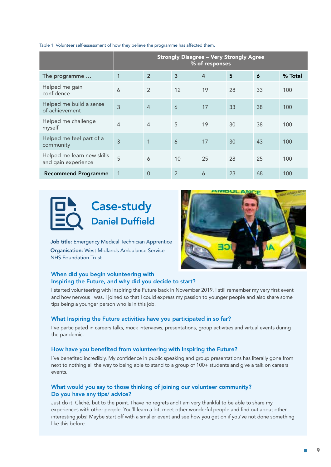|                                                   | <b>Strongly Disagree - Very Strongly Agree</b><br>% of responses |                |                |                |    |    |         |
|---------------------------------------------------|------------------------------------------------------------------|----------------|----------------|----------------|----|----|---------|
| The programme                                     | $\mathbf 1$                                                      | $\overline{2}$ | 3              | $\overline{4}$ | 5  | 6  | % Total |
| Helped me gain<br>confidence                      | 6                                                                | $\overline{2}$ | 12             | 19             | 28 | 33 | 100     |
| Helped me build a sense<br>of achievement         | $\overline{3}$                                                   | $\overline{4}$ | 6              | 17             | 33 | 38 | 100     |
| Helped me challenge<br>myself                     | $\overline{4}$                                                   | $\overline{4}$ | 5              | 19             | 30 | 38 | 100     |
| Helped me feel part of a<br>community             | 3                                                                | $\mathbf{1}$   | 6              | 17             | 30 | 43 | 100     |
| Helped me learn new skills<br>and gain experience | 5                                                                | 6              | 10             | 25             | 28 | 25 | 100     |
| <b>Recommend Programme</b>                        | 1                                                                | 0              | $\overline{2}$ | 6              | 23 | 68 | 100     |

Table 1: Volunteer self-assessment of how they believe the programme has affected them.



Job title: Emergency Medical Technician Apprentice Organisation: West Midlands Ambulance Service NHS Foundation Trust



#### When did you begin volunteering with Inspiring the Future, and why did you decide to start?

I started volunteering with Inspiring the Future back in November 2019. I still remember my very first event and how nervous I was. I joined so that I could express my passion to younger people and also share some tips being a younger person who is in this job.

#### What Inspiring the Future activities have you participated in so far?

I've participated in careers talks, mock interviews, presentations, group activities and virtual events during the pandemic.

#### How have you benefited from volunteering with Inspiring the Future?

I've benefited incredibly. My confidence in public speaking and group presentations has literally gone from next to nothing all the way to being able to stand to a group of 100+ students and give a talk on careers events.

#### What would you say to those thinking of joining our volunteer community? Do you have any tips/ advice?

Just do it. Cliché, but to the point. I have no regrets and I am very thankful to be able to share my experiences with other people. You'll learn a lot, meet other wonderful people and find out about other interesting jobs! Maybe start off with a smaller event and see how you get on if you've not done something like this before.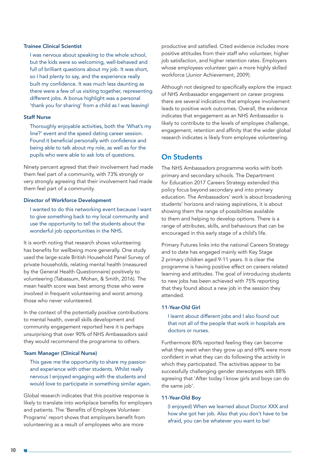#### Trainee Clinical Scientist

I was nervous about speaking to the whole school, but the kids were so welcoming, well-behaved and full of brilliant questions about my job. It was short, so I had plenty to say, and the experience really built my confidence. It was much less daunting as there were a few of us visiting together, representing different jobs. A bonus highlight was a personal 'thank you for sharing' from a child as I was leaving!

#### Staff Nurse

Thoroughly enjoyable activities, both the 'What's my line?' event and the speed dating career session. Found it beneficial personally with confidence and being able to talk about my role, as well as for the pupils who were able to ask lots of questions.

Ninety percent agreed that their involvement had made them feel part of a community, with 73% strongly or very strongly agreeing that their involvement had made them feel part of a community.

#### Director of Workforce Development

I wanted to do this networking event because I want to give something back to my local community and use the opportunity to tell the students about the wonderful job opportunities in the NHS.

It is worth noting that research shows volunteering has benefits for wellbeing more generally. One study used the large-scale British Household Panel Survey of private households, relating mental health (measured by the General Health Questionnaire) positively to volunteering (Tabassum, Mohan, & Smith, 2016). The mean health score was best among those who were involved in frequent volunteering and worst among those who never volunteered.

In the context of the potentially positive contributions to mental health, overall skills development and community engagement reported here it is perhaps unsurprising that over 90% of NHS Ambassadors said they would recommend the programme to others.

#### Team Manager (Clinical Nurse)

This gave me the opportunity to share my passion and experience with other students. Whilst really nervous I enjoyed engaging with the students and would love to participate in something similar again.

Global research indicates that this positive response is likely to translate into workplace benefits for employers and patients. The 'Benefits of Employee Volunteer Programs' report shows that employers benefit from volunteering as a result of employees who are more

productive and satisfied. Cited evidence includes more positive attitudes from their staff who volunteer, higher job satisfaction, and higher retention rates. Employers whose employees volunteer gain a more highly skilled workforce (Junior Achievement, 2009).

Although not designed to specifically explore the impact of NHS Ambassador engagement on career progress there are several indications that employee involvement leads to positive work outcomes. Overall, the evidence indicates that engagement as an NHS Ambassador is likely to contribute to the levels of employee challenge, engagement, retention and affinity that the wider global research indicates is likely from employee volunteering.

#### On Students

The NHS Ambassadors programme works with both primary and secondary schools. The Department for Education 2017 Careers Strategy extended this policy focus beyond secondary and into primary education. The Ambassadors' work is about broadening students' horizons and raising aspirations, it is about showing them the range of possibilities available to them and helping to develop options. There is a range of attributes, skills, and behaviours that can be encouraged in this early stage of a child's life.

Primary Futures links into the national Careers Strategy and to date has engaged mainly with Key Stage 2 primary children aged 9-11 years. It is clear the programme is having positive effect on careers related learning and attitudes. The goal of introducing students to new jobs has been achieved with 75% reporting that they found about a new job in the session they attended.

#### 11-Year-Old Girl

I learnt about different jobs and I also found out that not all of the people that work in hospitals are doctors or nurses.

Furthermore 80% reported feeling they can become what they want when they grow up and 69% were more confident in what they can do following the activity in which they participated. The activities appear to be successfully challenging gender stereotypes with 88% agreeing that 'After today I know girls and boys can do the same job'.

#### 11-Year-Old Boy

(I enjoyed) When we learned about Doctor XXX and how she got her job. Also that you don't have to be afraid, you can be whatever you want to be!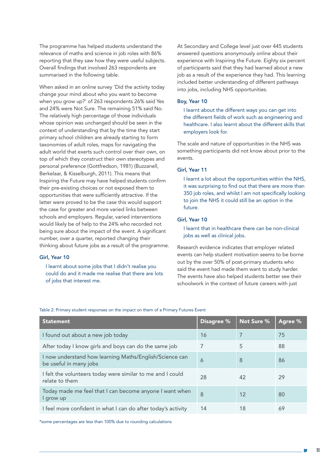The programme has helped students understand the relevance of maths and science in job roles with 86% reporting that they saw how they were useful subjects. Overall findings that involved 263 respondents are summarised in the following table.

When asked in an online survey 'Did the activity today change your mind about who you want to become when you grow up?' of 263 respondents 26% said Yes and 24% were Not Sure. The remaining 51% said No. The relatively high percentage of those individuals whose opinion was unchanged should be seen in the context of understanding that by the time they start primary school children are already starting to form taxonomies of adult roles, maps for navigating the adult world that exerts such control over their own, on top of which they construct their own stereotypes and personal preference (Gottfredson, 1981) (Buzzanell, Berkelaar, & Kisselburgh, 2011). This means that Inspiring the Future may have helped students confirm their pre-existing choices or not exposed them to opportunities that were sufficiently attractive. If the latter were proved to be the case this would support the case for greater and more varied links between schools and employers. Regular, varied interventions would likely be of help to the 24% who recorded not being sure about the impact of the event. A significant number, over a quarter, reported changing their thinking about future jobs as a result of the programme.

#### Girl, Year 10

I learnt about some jobs that I didn't realise you could do and it made me realise that there are lots of jobs that interest me.

At Secondary and College level just over 445 students answered questions anonymously online about their experience with Inspiring the Future. Eighty six percent of participants said that they had learned about a new job as a result of the experience they had. This learning included better understanding of different pathways into jobs, including NHS opportunities.

#### Boy, Year 10

I learnt about the different ways you can get into the different fields of work such as engineering and healthcare. I also learnt about the different skills that employers look for.

The scale and nature of opportunities in the NHS was something participants did not know about prior to the events.

#### Girl, Year 11

I learnt a lot about the opportunities within the NHS, it was surprising to find out that there are more than 350 job roles, and whilst I am not specifically looking to join the NHS it could still be an option in the future.

#### Girl, Year 10

I learnt that in healthcare there can be non-clinical jobs as well as clinical jobs.

Research evidence indicates that employer related events can help student motivation seems to be borne out by the over 50% of post-primary students who said the event had made them want to study harder. The events have also helped students better see their schoolwork in the context of future careers with just

Table 2: Primary student responses on the impact on them of a Primary Futures Event

| <b>Statement</b>                                                                  | Disagree % | Not Sure % | Agree % |
|-----------------------------------------------------------------------------------|------------|------------|---------|
| I found out about a new job today                                                 | 16         | 7          | 75      |
| After today I know girls and boys can do the same job                             | 7          | 5          | 88      |
| I now understand how learning Maths/English/Science can<br>be useful in many jobs | 6          | 8          | 86      |
| I felt the volunteers today were similar to me and I could<br>relate to them      | 28         | 42         | 29      |
| Today made me feel that I can become anyone I want when<br>I grow up              | 8          | 12         | 80      |
| I feel more confident in what I can do after today's activity                     | 14         | 18         | 69      |

\*some percentages are less than 100% due to rounding calculations

11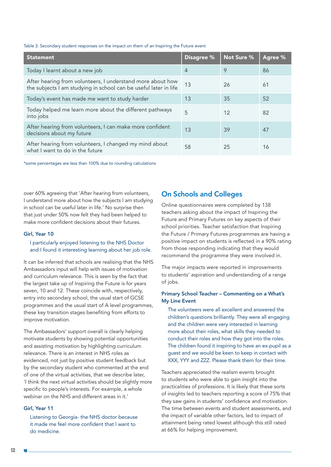#### Table 3: Secondary student responses on the impact on them of an Inspiring the Future event

| <b>Statement</b>                                                                                                               | <b>Disagree %</b> | Not Sure % | Agree % |
|--------------------------------------------------------------------------------------------------------------------------------|-------------------|------------|---------|
| Today I learnt about a new job                                                                                                 | $\overline{4}$    | 9          | 86      |
| After hearing from volunteers, I understand more about how<br>the subjects I am studying in school can be useful later in life | 13                | 26         | 61      |
| Today's event has made me want to study harder                                                                                 | 13                | 35         | 52      |
| Today helped me learn more about the different pathways<br>into jobs                                                           | 5                 | 12         | 82      |
| After hearing from volunteers, I can make more confident<br>decisions about my future                                          | 13                | 39         | 47      |
| After hearing from volunteers, I changed my mind about<br>what I want to do in the future                                      | 58                | 25         | 16      |

\*some percentages are less than 100% due to rounding calculations

over 60% agreeing that 'After hearing from volunteers, I understand more about how the subjects I am studying in school can be useful later in life.' No surprise then that just under 50% now felt they had been helped to make more confident decisions about their futures.

#### Girl, Year 10

#### I particularly enjoyed listening to the NHS Doctor and I found it interesting learning about her job role.

It can be inferred that schools are realising that the NHS Ambassadors input will help with issues of motivation and curriculum relevance. This is seen by the fact that the largest take up of Inspiring the Future is for years seven, 10 and 12. These coincide with, respectively, entry into secondary school, the usual start of GCSE programmes and the usual start of A level programmes, these key transition stages benefiting from efforts to improve motivation.

The Ambassadors' support overall is clearly helping motivate students by showing potential opportunities and assisting motivation by highlighting curriculum relevance. There is an interest in NHS roles as evidenced, not just by positive student feedback but by the secondary student who commented at the end of one of the virtual activities, that we describe later, 'I think the next virtual activities should be slightly more specific to people's interests. For example, a whole webinar on the NHS and different areas in it.'

#### Girl, Year 11

Listening to Georgia- the NHS doctor because it made me feel more confident that I want to do medicine.

#### On Schools and Colleges

Online questionnaires were completed by 138 teachers asking about the impact of Inspiring the Future and Primary Futures on key aspects of their school priorities. Teacher satisfaction that Inspiring the Future / Primary Futures programmes are having a positive impact on students is reflected in a 90% rating from those responding indicating that they would recommend the programme they were involved in.

The major impacts were reported in improvements to students' aspiration and understanding of a range of jobs.

#### Primary School Teacher – Commenting on a What's My Line Event

The volunteers were all excellent and answered the children's questions brilliantly. They were all engaging and the children were very interested in learning more about their roles, what skills they needed to conduct their roles and how they got into the roles. The children found it inspiring to have an ex-pupil as a guest and we would be keen to keep in contact with XXX, YYY and ZZZ. Please thank them for their time.

Teachers appreciated the realism events brought to students who were able to gain insight into the practicalities of professions. It is likely that these sorts of insights led to teachers reporting a score of 75% that they saw gains in students' confidence and motivation. The time between events and student assessments, and the impact of variable other factors, led to impact of attainment being rated lowest although this still rated at 66% for helping improvement.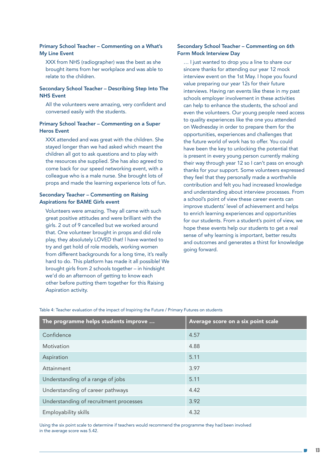#### Primary School Teacher – Commenting on a What's My Line Event

XXX from NHS (radiographer) was the best as she brought items from her workplace and was able to relate to the children.

#### Secondary School Teacher – Describing Step Into The NHS Event

All the volunteers were amazing, very confident and conversed easily with the students.

#### Primary School Teacher – Commenting on a Super Heros Event

XXX attended and was great with the children. She stayed longer than we had asked which meant the children all got to ask questions and to play with the resources she supplied. She has also agreed to come back for our speed networking event, with a colleague who is a male nurse. She brought lots of props and made the learning experience lots of fun.

#### Secondary Teacher – Commenting on Raising Aspirations for BAME Girls event

Volunteers were amazing. They all came with such great positive attitudes and were brilliant with the girls. 2 out of 9 cancelled but we worked around that. One volunteer brought in props and did role play, they absolutely LOVED that! l have wanted to try and get hold of role models, working women from different backgrounds for a long time, it's really hard to do. This platform has made it all possible! We brought girls from 2 schools together – in hindsight we'd do an afternoon of getting to know each other before putting them together for this Raising Aspiration activity.

#### Secondary School Teacher – Commenting on 6th Form Mock Interview Day

… I just wanted to drop you a line to share our sincere thanks for attending our year 12 mock interview event on the 1st May. I hope you found value preparing our year 12s for their future interviews. Having ran events like these in my past schools employer involvement in these activities can help to enhance the students, the school and even the volunteers. Our young people need access to quality experiences like the one you attended on Wednesday in order to prepare them for the opportunities, experiences and challenges that the future world of work has to offer. You could have been the key to unlocking the potential that is present in every young person currently making their way through year 12 so I can't pass on enough thanks for your support. Some volunteers expressed they feel that they personally made a worthwhile contribution and felt you had increased knowledge and understanding about interview processes. From a school's point of view these career events can improve students' level of achievement and helps to enrich learning experiences and opportunities for our students. From a student's point of view, we hope these events help our students to get a real sense of why learning is important, better results and outcomes and generates a thirst for knowledge going forward.

The programme helps students improve  $\dots$   $\blacksquare$  Average score on a six point scale Confidence 4.57 Motivation 4.88 Aspiration 5.11 Attainment 3.97 Understanding of a range of jobs 5.11 Understanding of career pathways 4.42 Understanding of recruitment processes 3.92 Employability skills 4.32

Table 4: Teacher evaluation of the impact of Inspiring the Future / Primary Futures on students

Using the six point scale to determine if teachers would recommend the programme they had been involved in the average score was 5.42.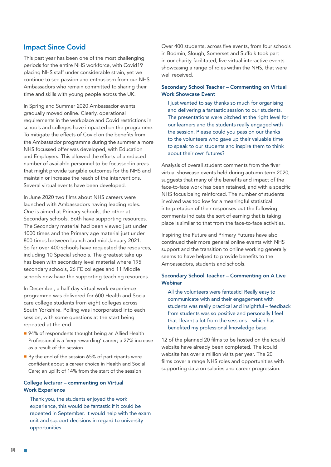#### Impact Since Covid

This past year has been one of the most challenging periods for the entire NHS workforce, with Covid19 placing NHS staff under considerable strain, yet we continue to see passion and enthusiasm from our NHS Ambassadors who remain committed to sharing their time and skills with young people across the UK.

In Spring and Summer 2020 Ambassador events gradually moved online. Clearly, operational requirements in the workplace and Covid restrictions in schools and colleges have impacted on the programme. To mitigate the effects of Covid on the benefits from the Ambassador programme during the summer a more NHS focussed offer was developed, with Education and Employers. This allowed the efforts of a reduced number of available personnel to be focussed in areas that might provide tangible outcomes for the NHS and maintain or increase the reach of the interventions. Several virtual events have been developed.

In June 2020 two films about NHS careers were launched with Ambassadors having leading roles. One is aimed at Primary schools, the other at Secondary schools. Both have supporting resources. The Secondary material had been viewed just under 1000 times and the Primary age material just under 800 times between launch and mid-January 2021. So far over 400 schools have requested the resources, including 10 Special schools. The greatest take up has been with secondary level material where 195 secondary schools, 26 FE colleges and 11 Middle schools now have the supporting teaching resources.

In December, a half day virtual work experience programme was delivered for 600 Health and Social care college students from eight colleges across South Yorkshire. Polling was incorporated into each session, with some questions at the start being repeated at the end.

- 94% of respondents thought being an Allied Health Professional is a 'very rewarding' career; a 27% increase as a result of the session
- By the end of the session 65% of participants were confident about a career choice in Health and Social Care; an uplift of 14% from the start of the session

#### College lecturer – commenting on Virtual Work Experience

Thank you, the students enjoyed the work experience, this would be fantastic if it could be repeated in September. It would help with the exam unit and support decisions in regard to university opportunities.

Over 400 students, across five events, from four schools in Bodmin, Slough, Somerset and Suffolk took part in our charity-facilitated, live virtual interactive events showcasing a range of roles within the NHS, that were well received.

#### Secondary School Teacher – Commenting on Virtual Work Showcase Event

I just wanted to say thanks so much for organising and delivering a fantastic session to our students. The presentations were pitched at the right level for our learners and the students really engaged with the session. Please could you pass on our thanks to the volunteers who gave up their valuable time to speak to our students and inspire them to think about their own futures?

Analysis of overall student comments from the fiver virtual showcase events held during autumn term 2020, suggests that many of the benefits and impact of the face-to-face work has been retained, and with a specific NHS focus being reinforced. The number of students involved was too low for a meaningful statistical interpretation of their responses but the following comments indicate the sort of earning that is taking place is similar to that from the face-to-face activities.

Inspiring the Future and Primary Futures have also continued their more general online events with NHS support and the transition to online working generally seems to have helped to provide benefits to the Ambassadors, students and schools.

#### Secondary School Teacher – Commenting on A Live **Webinar**

All the volunteers were fantastic! Really easy to communicate with and their engagement with students was really practical and insightful – feedback from students was so positive and personally I feel that I learnt a lot from the sessions – which has benefited my professional knowledge base.

12 of the planned 20 films to be hosted on the icould website have already been completed. The icould website has over a million visits per year. The 20 films cover a range NHS roles and opportunities with supporting data on salaries and career progression.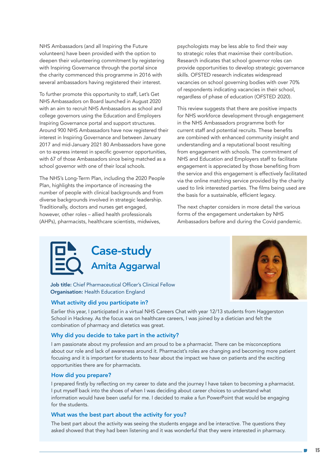NHS Ambassadors (and all Inspiring the Future volunteers) have been provided with the option to deepen their volunteering commitment by registering with Inspiring Governance through the portal since the charity commenced this programme in 2016 with several ambassadors having registered their interest.

To further promote this opportunity to staff, Let's Get NHS Ambassadors on Board launched in August 2020 with an aim to recruit NHS Ambassadors as school and college governors using the Education and Employers Inspiring Governance portal and support structures. Around 900 NHS Ambassadors have now registered their interest in Inspiring Governance and between January 2017 and mid-January 2021 80 Ambassadors have gone on to express interest in specific governor opportunities, with 67 of those Ambassadors since being matched as a school governor with one of their local schools.

The NHS's Long-Term Plan, including the 2020 People Plan, highlights the importance of increasing the number of people with clinical backgrounds and from diverse backgrounds involved in strategic leadership. Traditionally, doctors and nurses get engaged, however, other roles – allied health professionals (AHPs), pharmacists, healthcare scientists, midwives,

psychologists may be less able to find their way to strategic roles that maximise their contribution. Research indicates that school governor roles can provide opportunities to develop strategic governance skills. OFSTED research indicates widespread vacancies on school governing bodies with over 70% of respondents indicating vacancies in their school, regardless of phase of education (OFSTED 2020).

This review suggests that there are positive impacts for NHS workforce development through engagement in the NHS Ambassadors programme both for current staff and potential recruits. These benefits are combined with enhanced community insight and understanding and a reputational boost resulting from engagement with schools. The commitment of NHS and Education and Employers staff to facilitate engagement is appreciated by those benefiting from the service and this engagement is effectively facilitated via the online matching service provided by the charity used to link interested parties. The films being used are the basis for a sustainable, efficient legacy.

The next chapter considers in more detail the various forms of the engagement undertaken by NHS Ambassadors before and during the Covid pandemic.

### Case-study Amita Aggarwal

Job title: Chief Pharmaceutical Officer's Clinical Fellow Organisation: Health Education England

#### What activity did you participate in?

Earlier this year, I participated in a virtual NHS Careers Chat with year 12/13 students from Haggerston School in Hackney. As the focus was on healthcare careers, I was joined by a dietician and felt the combination of pharmacy and dietetics was great.

#### Why did you decide to take part in the activity?

I am passionate about my profession and am proud to be a pharmacist. There can be misconceptions about our role and lack of awareness around it. Pharmacist's roles are changing and becoming more patient focusing and it is important for students to hear about the impact we have on patients and the exciting opportunities there are for pharmacists.

#### How did you prepare?

I prepared firstly by reflecting on my career to date and the journey I have taken to becoming a pharmacist. I put myself back into the shoes of when I was deciding about career choices to understand what information would have been useful for me. I decided to make a fun PowerPoint that would be engaging for the students.

#### What was the best part about the activity for you?

The best part about the activity was seeing the students engage and be interactive. The questions they asked showed that they had been listening and it was wonderful that they were interested in pharmacy.

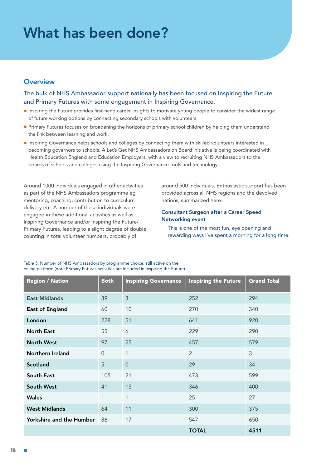### What has been done?

#### **Overview**

The bulk of NHS Ambassador support nationally has been focused on Inspiring the Future and Primary Futures with some engagement in Inspiring Governance.

- **Inspiring the Future provides first-hand career insights to motivate young people to consider the widest range** of future working options by connecting secondary schools with volunteers.
- Primary Futures focuses on broadening the horizons of primary school children by helping them understand the link between learning and work.
- Inspiring Governance helps schools and colleges by connecting them with skilled volunteers interested in becoming governors to schools. A Let's Get NHS Ambassadors on Board initiative is being coordinated with Health Education England and Education Employers, with a view to recruiting NHS Ambassadors to the boards of schools and colleges using the Inspiring Governance tools and technology.

Around 1000 individuals engaged in other activities as part of the NHS Ambassadors programme eg mentoring, coaching, contribution to curriculum delivery etc. A number of these individuals were engaged in these additional activities as well as Inspiring Governance and/or Inspiring the Future/ Primary Futures, leading to a slight degree of double counting in total volunteer numbers, probably of

around 500 individuals. Enthusiastic support has been provided across all NHS regions and the devolved nations, summarized here.

#### Consultant Surgeon after a Career Speed Networking event

This is one of the most fun, eye opening and rewarding ways I've spent a morning for a long time.

| <b>Region / Nation</b>          | <b>Both</b> | <b>Inspiring Governance</b> | <b>Inspiring the Future</b> | <b>Grand Total</b> |
|---------------------------------|-------------|-----------------------------|-----------------------------|--------------------|
| <b>East Midlands</b>            | 39          | 3                           | 252                         | 294                |
| <b>East of England</b>          | 60          | 10                          | 270                         | 340                |
| London                          | 228         | 51                          | 641                         | 920                |
| <b>North East</b>               | 55          | 6                           | 229                         | 290                |
| <b>North West</b>               | 97          | 25                          | 457                         | 579                |
| Northern Ireland                | $\Omega$    | $\mathbf{1}$                | $\overline{2}$              | 3                  |
| <b>Scotland</b>                 | 5           | $\Omega$                    | 29                          | 34                 |
| South East                      | 105         | 21                          | 473                         | 599                |
| <b>South West</b>               | 41          | 13                          | 346                         | 400                |
| <b>Wales</b>                    | 1           | 1                           | 25                          | 27                 |
| <b>West Midlands</b>            | 64          | 11                          | 300                         | 375                |
| <b>Yorkshire and the Humber</b> | 86          | 17                          | 547                         | 650                |
|                                 |             |                             | <b>TOTAL</b>                | 4511               |

Table 5: Number of NHS Ambassadors by programme choice, still active on the online platform (note Primary Futures activities are included in Inspiring the Future)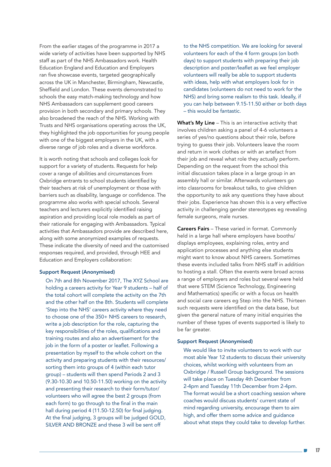From the earlier stages of the programme in 2017 a wide variety of activities have been supported by NHS staff as part of the NHS Ambassadors work. Health Education England and Education and Employers ran five showcase events, targeted geographically across the UK in Manchester, Birmingham, Newcastle, Sheffield and London. These events demonstrated to schools the easy match-making technology and how NHS Ambassadors can supplement good careers provision in both secondary and primary schools. They also broadened the reach of the NHS. Working with Trusts and NHS organisations operating across the UK, they highlighted the job opportunities for young people with one of the biggest employers in the UK, with a diverse range of job roles and a diverse workforce.

It is worth noting that schools and colleges look for support for a variety of students. Requests for help cover a range of abilities and circumstances from Oxbridge entrants to school students identified by their teachers at risk of unemployment or those with barriers such as disability, language or confidence. The programme also works with special schools. Several teachers and lecturers explicitly identified raising aspiration and providing local role models as part of their rationale for engaging with Ambassadors. Typical activities that Ambassadors provide are described here, along with some anonymized examples of requests. These indicate the diversity of need and the customised responses required, and provided, through HEE and Education and Employers collaboration:

#### Support Request (Anonymised)

On 7th and 8th November 2017, The XYZ School are holding a careers activity for Year 9 students – half of the total cohort will complete the activity on the 7th and the other half on the 8th. Students will complete 'Step into the NHS' careers activity where they need to choose one of the 350+ NHS careers to research, write a job description for the role, capturing the key responsibilities of the roles, qualifications and training routes and also an advertisement for the job in the form of a poster or leaflet. Following a presentation by myself to the whole cohort on the activity and preparing students with their resources/ sorting them into groups of 4 (within each tutor group) – students will then spend Periods 2 and 3 (9.30-10.30 and 10.50-11.50) working on the activity and presenting their research to their form/tutor/ volunteers who will agree the best 2 groups (from each form) to go through to the final in the main hall during period 4 (11.50-12.50) for final judging. At the final judging, 3 groups will be judged GOLD, SILVER AND BRONZE and these 3 will be sent off

to the NHS competition. We are looking for several volunteers for each of the 4 form groups (on both days) to support students with preparing their job description and poster/leaflet as we feel employer volunteers will really be able to support students with ideas, help with what employers look for in candidates (volunteers do not need to work for the NHS) and bring some realism to this task. Ideally, if you can help between 9.15-11.50 either or both days – this would be fantastic.

What's My Line - This is an interactive activity that involves children asking a panel of 4-6 volunteers a series of yes/no questions about their role, before trying to guess their job. Volunteers leave the room and return in work clothes or with an artefact from their job and reveal what role they actually perform. Depending on the request from the school this initial discussion takes place in a large group in an assembly hall or similar. Afterwards volunteers go into classrooms for breakout talks, to give children the opportunity to ask any questions they have about their jobs. Experience has shown this is a very effective activity in challenging gender stereotypes eg revealing female surgeons, male nurses.

Careers Fairs – These varied in format. Commonly held in a large hall where employers have booths/ displays employees, explaining roles, entry and application processes and anything else students might want to know about NHS careers. Sometimes these events included talks from NHS staff in addition to hosting a stall. Often the events were broad across a range of employers and roles but several were held that were STEM (Science Technology, Engineering and Mathematics) specific or with a focus on health and social care careers eg Step into the NHS. Thirteen such requests were identified on the data base, but given the general nature of many initial enquiries the number of these types of events supported is likely to be far greater.

#### Support Request (Anonymised)

We would like to invite volunteers to work with our most able Year 12 students to discuss their university choices, whilst working with volunteers from an Oxbridge / Russell Group background. The sessions will take place on Tuesday 4th December from 2-4pm and Tuesday 11th December from 2-4pm. The format would be a short coaching session where coaches would discuss students' current state of mind regarding university, encourage them to aim high, and offer them some advice and guidance about what steps they could take to develop further.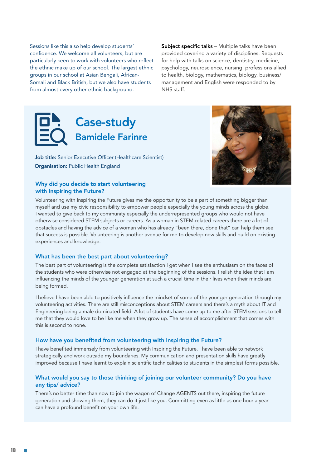Sessions like this also help develop students' confidence. We welcome all volunteers, but are particularly keen to work with volunteers who reflect the ethnic make up of our school. The largest ethnic groups in our school at Asian Bengali, African-Somali and Black British, but we also have students from almost every other ethnic background.

Subject specific talks – Multiple talks have been provided covering a variety of disciplines. Requests for help with talks on science, dentistry, medicine, psychology, neuroscience, nursing, professions allied to health, biology, mathematics, biology, business/ management and English were responded to by NHS staff.

### Case-study Bamidele Farinre

Job title: Senior Executive Officer (Healthcare Scientist) Organisation: Public Health England



#### Why did you decide to start volunteering with Inspiring the Future?

Volunteering with Inspiring the Future gives me the opportunity to be a part of something bigger than myself and use my civic responsibility to empower people especially the young minds across the globe. I wanted to give back to my community especially the underrepresented groups who would not have otherwise considered STEM subjects or careers. As a woman in STEM-related careers there are a lot of obstacles and having the advice of a woman who has already "been there, done that" can help them see that success is possible. Volunteering is another avenue for me to develop new skills and build on existing experiences and knowledge.

#### What has been the best part about volunteering?

The best part of volunteering is the complete satisfaction I get when I see the enthusiasm on the faces of the students who were otherwise not engaged at the beginning of the sessions. I relish the idea that I am influencing the minds of the younger generation at such a crucial time in their lives when their minds are being formed.

I believe I have been able to positively influence the mindset of some of the younger generation through my volunteering activities. There are still misconceptions about STEM careers and there's a myth about IT and Engineering being a male dominated field. A lot of students have come up to me after STEM sessions to tell me that they would love to be like me when they grow up. The sense of accomplishment that comes with this is second to none.

#### How have you benefited from volunteering with Inspiring the Future?

I have benefited immensely from volunteering with Inspiring the Future. I have been able to network strategically and work outside my boundaries. My communication and presentation skills have greatly improved because I have learnt to explain scientific technicalities to students in the simplest forms possible.

#### What would you say to those thinking of joining our volunteer community? Do you have any tips/ advice?

There's no better time than now to join the wagon of Change AGENTS out there, inspiring the future generation and showing them, they can do it just like you. Committing even as little as one hour a year can have a profound benefit on your own life.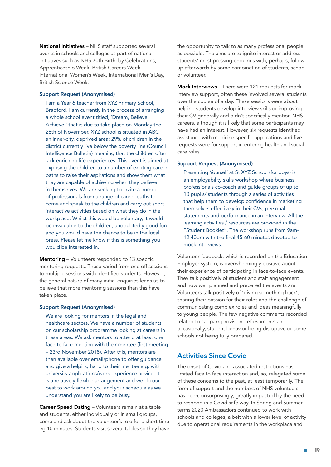National Initiatives – NHS staff supported several events in schools and colleges as part of national initiatives such as NHS 70th Birthday Celebrations, Apprenticeship Week, British Careers Week, International Women's Week, International Men's Day, British Science Week.

#### Support Request (Anonymised)

I am a Year 6 teacher from XYZ Primary School, Bradford. I am currently in the process of arranging a whole school event titled, 'Dream, Believe, Achieve,' that is due to take place on Monday the 26th of November. XYZ school is situated in ABC an inner-city, deprived area: 29% of children in the district currently live below the poverty line (Council Intelligence Bulletin) meaning that the children often lack enriching life experiences. This event is aimed at exposing the children to a number of exciting career paths to raise their aspirations and show them what they are capable of achieving when they believe in themselves. We are seeking to invite a number of professionals from a range of career paths to come and speak to the children and carry out short interactive activities based on what they do in the workplace. Whilst this would be voluntary, it would be invaluable to the children, undoubtedly good fun and you would have the chance to be in the local press. Please let me know if this is something you would be interested in.

Mentoring – Volunteers responded to 13 specific mentoring requests. These varied from one off sessions to multiple sessions with identified students. However, the general nature of many initial enquiries leads us to believe that more mentoring sessions than this have taken place.

#### Support Request (Anonymised)

We are looking for mentors in the legal and healthcare sectors. We have a number of students on our scholarship programme looking at careers in these areas. We ask mentors to attend at least one face to face meeting with their mentee (first meeting – 23rd November 2018). After this, mentors are then available over email/phone to offer guidance and give a helping hand to their mentee e.g. with university applications/work experience advice. It is a relatively flexible arrangement and we do our best to work around you and your schedule as we understand you are likely to be busy.

Career Speed Dating – Volunteers remain at a table and students, either individually or in small groups, come and ask about the volunteer's role for a short time eg 10 minutes. Students visit several tables so they have the opportunity to talk to as many professional people as possible. The aims are to ignite interest or address students' most pressing enquiries with, perhaps, follow up afterwards by some combination of students, school or volunteer.

Mock Interviews – There were 121 requests for mock interview support, often these involved several students over the course of a day. These sessions were about helping students develop interview skills or improving their CV generally and didn't specifically mention NHS careers, although it is likely that some participants may have had an interest. However, six requests identified assistance with medicine specific applications and five requests were for support in entering health and social care roles.

#### Support Request (Anonymised)

Presenting Yourself at St XYZ School (for boys) is an employability skills workshop where business professionals co-coach and guide groups of up to 10 pupils/ students through a series of activities that help them to develop confidence in marketing themselves effectively in their CVs, personal statements and performance in an interview. All the learning activities / resources are provided in the "Student Booklet". The workshop runs from 9am-12.40pm with the final 45-60 minutes devoted to mock interviews.

Volunteer feedback, which is recorded on the Education Employer system, is overwhelmingly positive about their experience of participating in face-to-face events. They talk positively of student and staff engagement and how well planned and prepared the events are. Volunteers talk positively of 'giving something back', sharing their passion for their roles and the challenge of communicating complex roles and ideas meaningfully to young people. The few negative comments recorded related to car park provision, refreshments and, occasionally, student behavior being disruptive or some schools not being fully prepared.

#### Activities Since Covid

The onset of Covid and associated restrictions has limited face to face interaction and, so, relegated some of these concerns to the past, at least temporarily. The form of support and the numbers of NHS volunteers has been, unsurprisingly, greatly impacted by the need to respond in a Covid safe way. In Spring and Summer terms 2020 Ambassadors continued to work with schools and colleges, albeit with a lower level of activity due to operational requirements in the workplace and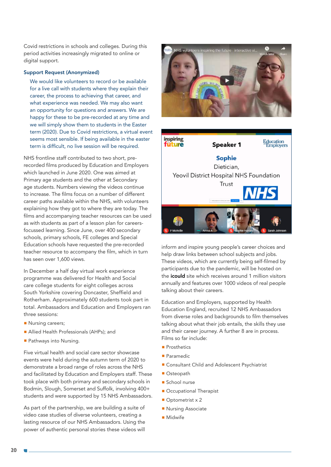Covid restrictions in schools and colleges. During this period activities increasingly migrated to online or digital support.

#### Support Request (Anonymized)

We would like volunteers to record or be available for a live call with students where they explain their career, the process to achieving that career, and what experience was needed. We may also want an opportunity for questions and answers. We are happy for these to be pre-recorded at any time and we will simply show them to students in the Easter term (2020). Due to Covid restrictions, a virtual event seems most sensible. If being available in the easter term is difficult, no live session will be required.

NHS frontline staff contributed to two short, prerecorded films produced by Education and Employers which launched in June 2020. One was aimed at Primary age students and the other at Secondary age students. Numbers viewing the videos continue to increase. The films focus on a number of different career paths available within the NHS, with volunteers explaining how they got to where they are today. The films and accompanying teacher resources can be used as with students as part of a lesson plan for careersfocussed learning. Since June, over 400 secondary schools, primary schools, FE colleges and Special Education schools have requested the pre-recorded teacher resource to accompany the film, which in turn has seen over 1,600 views.

In December a half day virtual work experience programme was delivered for Health and Social care college students for eight colleges across South Yorkshire covering Doncaster, Sheffield and Rotherham. Approximately 600 students took part in total. Ambassadors and Education and Employers ran three sessions:

- Nursing careers;
- **Allied Health Professionals (AHPs)**; and
- Pathways into Nursing.

Five virtual health and social care sector showcase events were held during the autumn term of 2020 to demonstrate a broad range of roles across the NHS and facilitated by Education and Employers staff. These took place with both primary and secondary schools in Bodmin, Slough, Somerset and Suffolk, involving 400+ students and were supported by 15 NHS Ambassadors.

As part of the partnership, we are building a suite of video case studies of diverse volunteers, creating a lasting resource of our NHS Ambassadors. Using the power of authentic personal stories these videos will



inspiring Education<br>Employers füture **Speaker 1 Sophie** Dietician, Yeovil District Hospital NHS Foundation Trust

inform and inspire young people's career choices and help draw links between school subjects and jobs. These videos, which are currently being self-filmed by participants due to the pandemic, will be hosted on the *icould* site which receives around 1 million visitors annually and features over 1000 videos of real people talking about their careers.

Education and Employers, supported by Health Education England, recruited 12 NHS Ambassadors from diverse roles and backgrounds to film themselves talking about what their job entails, the skills they use and their career journey. A further 8 are in process. Films so far include:

- Prosthetics
- Paramedic
- Consultant Child and Adolescent Psychiatrist
- Osteopath
- School nurse
- Occupational Therapist
- Optometrist x 2
- Nursing Associate
- § Midwife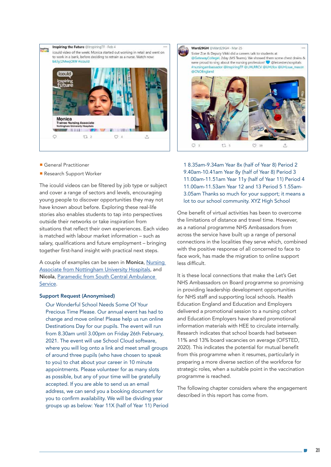

- General Practitioner
- Research Support Worker

The icould videos can be filtered by job type or subject and cover a range of sectors and levels, encouraging young people to discover opportunities they may not have known about before. Exploring these real-life stories also enables students to tap into perspectives outside their networks or take inspiration from situations that reflect their own experiences. Each video is matched with labour market information – such as salary, qualifications and future employment – bringing together first-hand insight with practical next steps.

A couple of examples can be seen in Monica, [Nursing](https://icould.com/stories/monica/)  [Associate from Nottingham University Hospitals](https://icould.com/stories/monica/), and Nicola, [Paramedic from South Central Ambulance](https://icould.com/stories/nicola-p/)  [Service.](https://icould.com/stories/nicola-p/)

#### Support Request (Anonymised)

Our Wonderful School Needs Some Of Your Precious Time Please. Our annual event has had to change and move online! Please help us run online Destinations Day for our pupils. The event will run from 8.30am until 3.00pm on Friday 26th February, 2021. The event will use School Cloud software, where you will log onto a link and meet small groups of around three pupils (who have chosen to speak to you) to chat about your career in 10 minute appointments. Please volunteer for as many slots as possible, but any of your time will be gratefully accepted. If you are able to send us an email address, we can send you a booking document for you to confirm availability. We will be dividing year groups up as below: Year 11X (half of Year 11) Period



1 8.35am-9.34am Year 8x (half of Year 8) Period 2 9.40am-10.41am Year 8y (half of Year 8) Period 3 11.00am-11.51am Year 11y (half of Year 11) Period 4 11.00am-11.53am Year 12 and 13 Period 5 1.55am-3.05am Thanks so much for your support; it means a lot to our school community. XYZ High School

One benefit of virtual activities has been to overcome the limitations of distance and travel time. However, as a national programme NHS Ambassadors from across the service have built up a range of personal connections in the localities they serve which, combined with the positive response of all concerned to face to face work, has made the migration to online support less difficult.

It is these local connections that make the Let's Get NHS Ambassadors on Board programme so promising in providing leadership development opportunities for NHS staff and supporting local schools. Health Education England and Education and Employers delivered a promotional session to a nursing cohort and Education Employers have shared promotional information materials with HEE to circulate internally. Research indicates that school boards had between 11% and 13% board vacancies on average (OFSTED, 2020). This indicates the potential for mutual benefit from this programme when it resumes, particularly in preparing a more diverse section of the workforce for strategic roles, when a suitable point in the vaccination programme is reached.

The following chapter considers where the engagement described in this report has come from.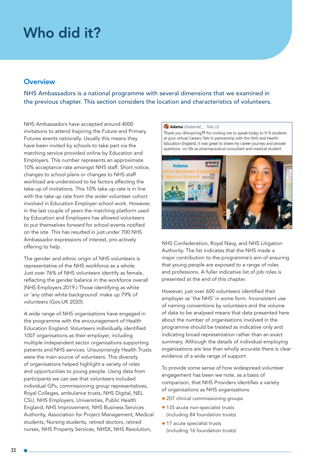### Who did it?

#### **Overview**

NHS Ambassadors is a national programme with several dimensions that we examined in the previous chapter. This section considers the location and characteristics of volunteers.

NHS Ambassadors have accepted around 4000 invitations to attend Inspiring the Future and Primary Futures events nationally. Usually this means they have been invited by schools to take part via the matching service provided online by Education and Employers. This number represents an approximate 10% acceptance rate amongst NHS staff. Short notice, changes to school plans or changes to NHS staff workload are understood to be factors affecting the take-up of invitations. This 10% take up rate is in line with the take up rate from the wider volunteer cohort involved in Education Employer school work. However, in the last couple of years the matching platform used by Education and Employers has allowed volunteers to put themselves forward for school events notified on the site. This has resulted in just under 700 NHS Ambassador expressions of interest, pro-actively offering to help.

The gender and ethnic origin of NHS volunteers is representative of the NHS workforce as a whole. Just over 76% of NHS volunteers identify as female, reflecting the gender balance in the workforce overall (NHS Employers 2019.) Those identifying as white or 'any other white background' make up 79% of volunteers (Gov.UK 2020).

A wide range of NHS organisations have engaged in the programme with the encouragement of Health Education England. Volunteers individually identified 1007 organisations as their employer, including multiple independent sector organisations supporting patients and NHS services. Unsurprisingly Health Trusts were the main source of volunteers. This diversity of organisations helped highlight a variety of roles and opportunities to young people. Using data from participants we can see that volunteers included individual GPs, commissioning group representatives, Royal Colleges, ambulance trusts, NHS Digital, NEL CSU, NHS Employers, Universities, Public Health England, NHS Improvement, NHS Business Services Authority, Association for Project Management, Medical students, Nursing students, retired doctors, retired nurses, NHS Property Services, NHSX, NHS Resolution,



NHS Confederation, Royal Navy, and NHS Litigation Authority. The list indicates that the NHS made a major contribution to the programme's aim of ensuring that young people are exposed to a range of roles and professions. A fuller indicative list of job roles is presented at the end of this chapter.

However, just over 600 volunteers identified their employer as 'the NHS' in some form. Inconsistent use of naming conventions by volunteers and the volume of data to be analysed means that data presented here about the number of organisations involved in the programme should be treated as indicative only and indicating broad representation rather than an exact summary. Although the details of individual employing organisations are less than wholly accurate there is clear evidence of a wide range of support

To provide some sense of how widespread volunteer engagement has been we note, as a basis of comparison, that NHS Providers identifies a variety of organisations as NHS organisations

- 207 clinical commissioning groups
- 135 acute non-specialist trusts (including 84 foundation trusts)
- $\blacksquare$  17 acute specialist trusts (including 16 foundation trusts)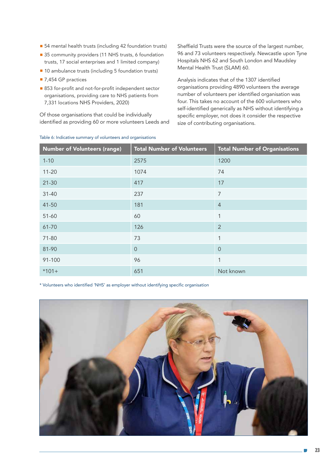- 54 mental health trusts (including 42 foundation trusts)
- 35 community providers (11 NHS trusts, 6 foundation trusts, 17 social enterprises and 1 limited company)
- 10 ambulance trusts (including 5 foundation trusts)
- 7,454 GP practices
- 853 for-profit and not-for-profit independent sector organisations, providing care to NHS patients from 7,331 locations NHS Providers, 2020)

Of those organisations that could be individually identified as providing 60 or more volunteers Leeds and

Table 6: Indicative summary of volunteers and organisations

Sheffield Trusts were the source of the largest number, 96 and 73 volunteers respectively. Newcastle upon Tyne Hospitals NHS 62 and South London and Maudsley Mental Health Trust (SLAM) 60.

Analysis indicates that of the 1307 identified organisations providing 4890 volunteers the average number of volunteers per identified organisation was four. This takes no account of the 600 volunteers who self-identified generically as NHS without identifying a specific employer, not does it consider the respective size of contributing organisations.

| <b>Number of Volunteers (range)</b> | <b>Total Number of Volunteers</b> | <b>Total Number of Organisations</b> |
|-------------------------------------|-----------------------------------|--------------------------------------|
| $1 - 10$                            | 2575                              | 1200                                 |
| $11 - 20$                           | 1074                              | 74                                   |
| $21 - 30$                           | 417                               | 17                                   |
| $31 - 40$                           | 237                               | $\overline{7}$                       |
| 41-50                               | 181                               | $\overline{4}$                       |
| $51 - 60$                           | 60                                | $\mathbf{1}$                         |
| 61-70                               | 126                               | $\overline{2}$                       |
| 71-80                               | 73                                | 1                                    |
| 81-90                               | $\overline{0}$                    | $\overline{0}$                       |
| 91-100                              | 96                                | $\mathbf{1}$                         |
| $*101+$                             | 651                               | Not known                            |

\* Volunteers who identified 'NHS' as employer without identifying specific organisation

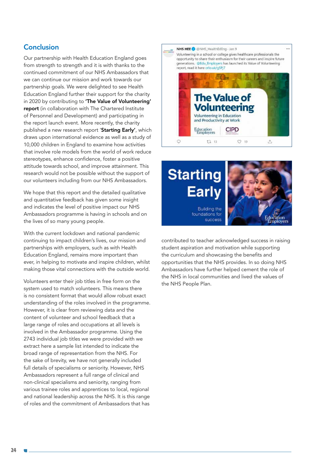#### Conclusion

Our partnership with Health Education England goes from strength to strength and it is with thanks to the continued commitment of our NHS Ambassadors that we can continue our mission and work towards our partnership goals. We were delighted to see Health Education England further their support for the charity in 2020 by contributing to 'The Value of Volunteering' [report](https://www.educationandemployers.org/wp-content/uploads/2020/12/The-Value-of-Volunteering-final-8th-Jan-2021-1.pdf) (in collaboration with The Chartered Institute of Personnel and Development) and participating in the report launch event. More recently, the charity published a new research report '[Starting Early'](https://www.educationandemployers.org/startingearly/), which draws upon international evidence as well as a study of 10,000 children in England to examine how activities that involve role models from the world of work reduce stereotypes, enhance confidence, foster a positive attitude towards school, and improve attainment. This research would not be possible without the support of our volunteers including from our NHS Ambassadors.

We hope that this report and the detailed qualitative and quantitative feedback has given some insight and indicates the level of positive impact our NHS Ambassadors programme is having in schools and on the lives of so many young people.

With the current lockdown and national pandemic continuing to impact children's lives, our mission and partnerships with employers, such as with Health Education England, remains more important than ever, in helping to motivate and inspire children, whilst making those vital connections with the outside world.

Volunteers enter their job titles in free form on the system used to match volunteers. This means there is no consistent format that would allow robust exact understanding of the roles involved in the programme. However, it is clear from reviewing data and the content of volunteer and school feedback that a large range of roles and occupations at all levels is involved in the Ambassador programme. Using the 2743 individual job titles we were provided with we extract here a sample list intended to indicate the broad range of representation from the NHS. For the sake of brevity, we have not generally included full details of specialisms or seniority. However, NHS Ambassadors represent a full range of clinical and non-clinical specialisms and seniority, ranging from various trainee roles and apprentices to local, regional and national leadership across the NHS. It is this range of roles and the commitment of Ambassadors that has





contributed to teacher acknowledged success in raising student aspiration and motivation while supporting the curriculum and showcasing the benefits and opportunities that the NHS provides. In so doing NHS Ambassadors have further helped cement the role of the NHS in local communities and lived the values of the NHS People Plan.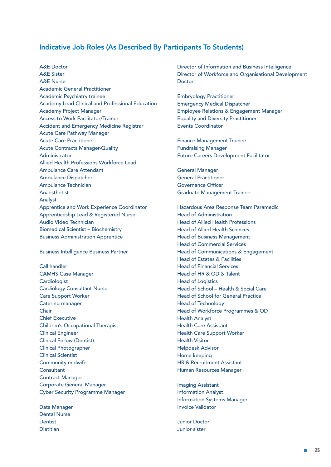#### Indicative Job Roles (As Described By Participants To Students)

A&E Doctor A&E Sister A&E Nurse Academic General Practitioner Academic Psychiatry trainee Academy Lead Clinical and Professional Education Academy Project Manager Access to Work Facilitator/Trainer Accident and Emergency Medicine Registrar Acute Care Pathway Manager Acute Care Practitioner Acute Contracts Manager-Quality Administrator Allied Health Professions Workforce Lead Ambulance Care Attendant Ambulance Dispatcher Ambulance Technician Anaesthetist Analyst Apprentice and Work Experience Coordinator Apprenticeship Lead & Registered Nurse Audio Video Technician Biomedical Scientist – Biochemistry Business Administration Apprentice

Business Intelligence Business Partner

Call handler CAMHS Case Manager **Cardiologist** Cardiology Consultant Nurse Care Support Worker Catering manager Chair Chief Executive Children's Occupational Therapist Clinical Engineer Clinical Fellow (Dentist) Clinical Photographer Clinical Scientist Community midwife **Consultant** Contract Manager Corporate General Manager Cyber Security Programme Manager

Data Manager Dental Nurse **Dentist** Dietitian

Director of Information and Business Intelligence Director of Workforce and Organisational Development Doctor

Embryology Practitioner Emergency Medical Dispatcher Employee Relations & Engagement Manager Equality and Diversity Practitioner Events Coordinator

Finance Management Trainee Fundraising Manager Future Careers Development Facilitator

General Manager General Practitioner Governance Officer Graduate Management Trainee

Hazardous Area Response Team Paramedic Head of Administration Head of Allied Health Professions Head of Allied Health Sciences Head of Business Management Head of Commercial Services Head of Communications & Engagement Head of Estates & Facilities Head of Financial Services Head of HR & OD & Talent Head of Logistics Head of School – Health & Social Care Head of School for General Practice Head of Technology Head of Workforce Programmes & OD Health Analyst Health Care Assistant Health Care Support Worker Health Visitor Helpdesk Advisor Home keeping HR & Recruitment Assistant Human Resources Manager

Imaging Assistant Information Analyst Information Systems Manager Invoice Validator

Junior Doctor Junior sister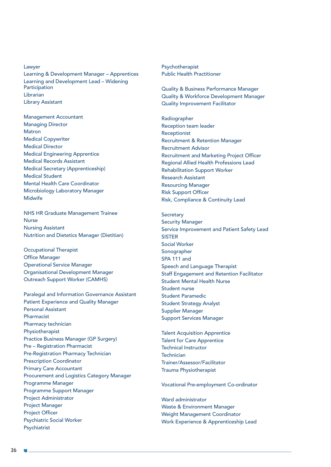Lawyer Learning & Development Manager – Apprentices Learning and Development Lead – Widening Participation **Librarian** Library Assistant

Management Accountant Managing Director Matron Medical Copywriter Medical Director Medical Engineering Apprentice Medical Records Assistant Medical Secretary (Apprenticeship) Medical Student Mental Health Care Coordinator Microbiology Laboratory Manager **Midwife** 

NHS HR Graduate Management Trainee Nurse Nursing Assistant Nutrition and Dietetics Manager (Dietitian)

Occupational Therapist Office Manager Operational Service Manager Organisational Development Manager Outreach Support Worker (CAMHS)

Paralegal and Information Governance Assistant Patient Experience and Quality Manager Personal Assistant Pharmacist Pharmacy technician Physiotherapist Practice Business Manager (GP Surgery) Pre – Registration Pharmacist Pre-Registration Pharmacy Technician Prescription Coordinator Primary Care Accountant Procurement and Logistics Category Manager Programme Manager Programme Support Manager Project Administrator Project Manager Project Officer Psychiatric Social Worker Psychiatrist

Psychotherapist Public Health Practitioner

Quality & Business Performance Manager Quality & Workforce Development Manager Quality Improvement Facilitator

Radiographer Reception team leader Receptionist Recruitment & Retention Manager Recruitment Advisor Recruitment and Marketing Project Officer Regional Allied Health Professions Lead Rehabilitation Support Worker Research Assistant Resourcing Manager Risk Support Officer Risk, Compliance & Continuity Lead

**Secretary** Security Manager Service Improvement and Patient Safety Lead **SISTER** Social Worker Sonographer SPA 111 and Speech and Language Therapist Staff Engagement and Retention Facilitator Student Mental Health Nurse Student nurse Student Paramedic Student Strategy Analyst Supplier Manager Support Services Manager

Talent Acquisition Apprentice Talent for Care Apprentice Technical Instructor Technician Trainer/Assessor/Facilitator Trauma Physiotherapist

Vocational Pre-employment Co-ordinator

Ward administrator Waste & Environment Manager Weight Management Coordinator Work Experience & Apprenticeship Lead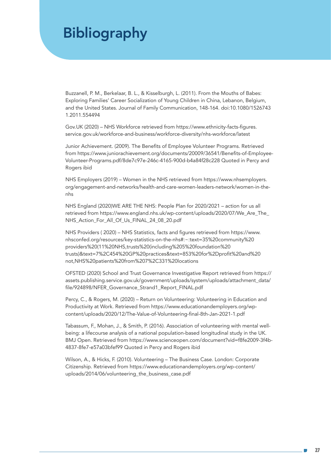### Bibliography

Buzzanell, P. M., Berkelaar, B. L., & Kisselburgh, L. (2011). From the Mouths of Babes: Exploring Families' Career Socialization of Young Children in China, Lebanon, Belgium, and the United States. Journal of Family Communication, 148-164. doi:10.1080/1526743 1.2011.554494

Gov.UK (2020) – NHS Workforce retrieved from https://www.ethnicity-facts-figures. service.gov.uk/workforce-and-business/workforce-diversity/nhs-workforce/latest

Junior Achievement. (2009). The Benefits of Employee Volunteer Programs. Retrieved from https://www.juniorachievement.org/documents/20009/36541/Benefits-of-Employee-Volunteer-Programs.pdf/8de7c97e-246c-4165-900d-b4a84f28c228 Quoted in Percy and Rogers ibid

NHS Employers (2019) – Women in the NHS retrieved from https://www.nhsemployers. org/engagement-and-networks/health-and-care-women-leaders-network/women-in-thenhs

NHS England (2020)WE ARE THE NHS: People Plan for 2020/2021 – action for us all retrieved from https://www.england.nhs.uk/wp-content/uploads/2020/07/We\_Are\_The\_ NHS\_Action\_For\_All\_Of\_Us\_FINAL\_24\_08\_20.pdf

NHS Providers ( 2020) – NHS Statistics, facts and figures retrieved from https://www. nhsconfed.org/resources/key-statistics-on-the-nhs#:~:text=35%20community%20 providers%20(11%20NHS,trusts%20(including%205%20foundation%20 trusts)&text=7%2C454%20GP%20practices&text=853%20for%2Dprofit%20and%20 not,NHS%20patients%20from%207%2C331%20locations

OFSTED (2020) School and Trust Governance Investigative Report retrieved from https:// assets.publishing.service.gov.uk/government/uploads/system/uploads/attachment\_data/ file/924898/NFER\_Governance\_Strand1\_Report\_FINAL.pdf

Percy, C., & Rogers, M. (2020) – Return on Volunteering: Volunteering in Education and Productivity at Work. Retrieved from https://www.educationandemployers.org/wpcontent/uploads/2020/12/The-Value-of-Volunteering-final-8th-Jan-2021-1.pdf

Tabassum, F., Mohan, J., & Smith, P. (2016). Association of volunteering with mental wellbeing: a lifecourse analysis of a national population-based longitudinal study in the UK. BMJ Open. Retrieved from https://www.scienceopen.com/document?vid=f8fe2009-3f4b-4837-8fe7-e57a03bfef99 Quoted in Percy and Rogers ibid

Wilson, A., & Hicks, F. (2010). Volunteering – The Business Case. London: Corporate Citizenship. Retrieved from https://www.educationandemployers.org/wp-content/ uploads/2014/06/volunteering the business case.pdf